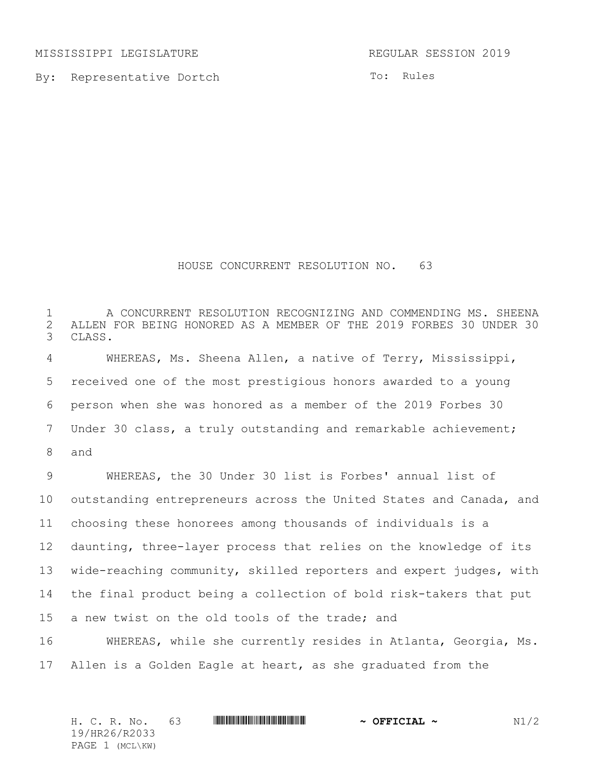MISSISSIPPI LEGISLATURE **REGULAR SESSION 2019** 

By: Representative Dortch

To: Rules

## HOUSE CONCURRENT RESOLUTION NO. 63

 A CONCURRENT RESOLUTION RECOGNIZING AND COMMENDING MS. SHEENA 2 ALLEN FOR BEING HONORED AS A MEMBER OF THE 2019 FORBES 30 UNDER 30<br>3 CLASS. CLASS.

 WHEREAS, Ms. Sheena Allen, a native of Terry, Mississippi, received one of the most prestigious honors awarded to a young person when she was honored as a member of the 2019 Forbes 30 Under 30 class, a truly outstanding and remarkable achievement;

and

 WHEREAS, the 30 Under 30 list is Forbes' annual list of outstanding entrepreneurs across the United States and Canada, and choosing these honorees among thousands of individuals is a daunting, three-layer process that relies on the knowledge of its wide-reaching community, skilled reporters and expert judges, with the final product being a collection of bold risk-takers that put a new twist on the old tools of the trade; and

 WHEREAS, while she currently resides in Atlanta, Georgia, Ms. Allen is a Golden Eagle at heart, as she graduated from the

| H. C. R. No.    | - 63 |  | $\sim$ OFFICIAL $\sim$ | N1/2 |
|-----------------|------|--|------------------------|------|
| 19/HR26/R2033   |      |  |                        |      |
| PAGE 1 (MCL\KW) |      |  |                        |      |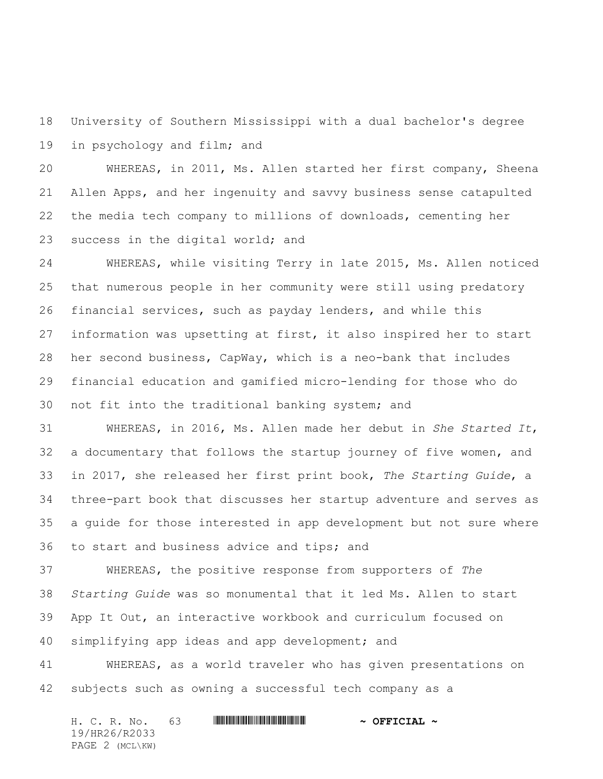University of Southern Mississippi with a dual bachelor's degree in psychology and film; and

 WHEREAS, in 2011, Ms. Allen started her first company, Sheena Allen Apps, and her ingenuity and savvy business sense catapulted the media tech company to millions of downloads, cementing her success in the digital world; and

 WHEREAS, while visiting Terry in late 2015, Ms. Allen noticed that numerous people in her community were still using predatory financial services, such as payday lenders, and while this information was upsetting at first, it also inspired her to start her second business, CapWay, which is a neo-bank that includes financial education and gamified micro-lending for those who do not fit into the traditional banking system; and

 WHEREAS, in 2016, Ms. Allen made her debut in *She Started It*, a documentary that follows the startup journey of five women, and in 2017, she released her first print book, *The Starting Guide*, a three-part book that discusses her startup adventure and serves as a guide for those interested in app development but not sure where to start and business advice and tips; and

 WHEREAS, the positive response from supporters of *The Starting Guide* was so monumental that it led Ms. Allen to start App It Out, an interactive workbook and curriculum focused on simplifying app ideas and app development; and

 WHEREAS, as a world traveler who has given presentations on subjects such as owning a successful tech company as a

H. C. R. No. 63 **WILL BEET ALL AND A STATE OF PETCIAL ~** 19/HR26/R2033 PAGE 2 (MCL\KW)